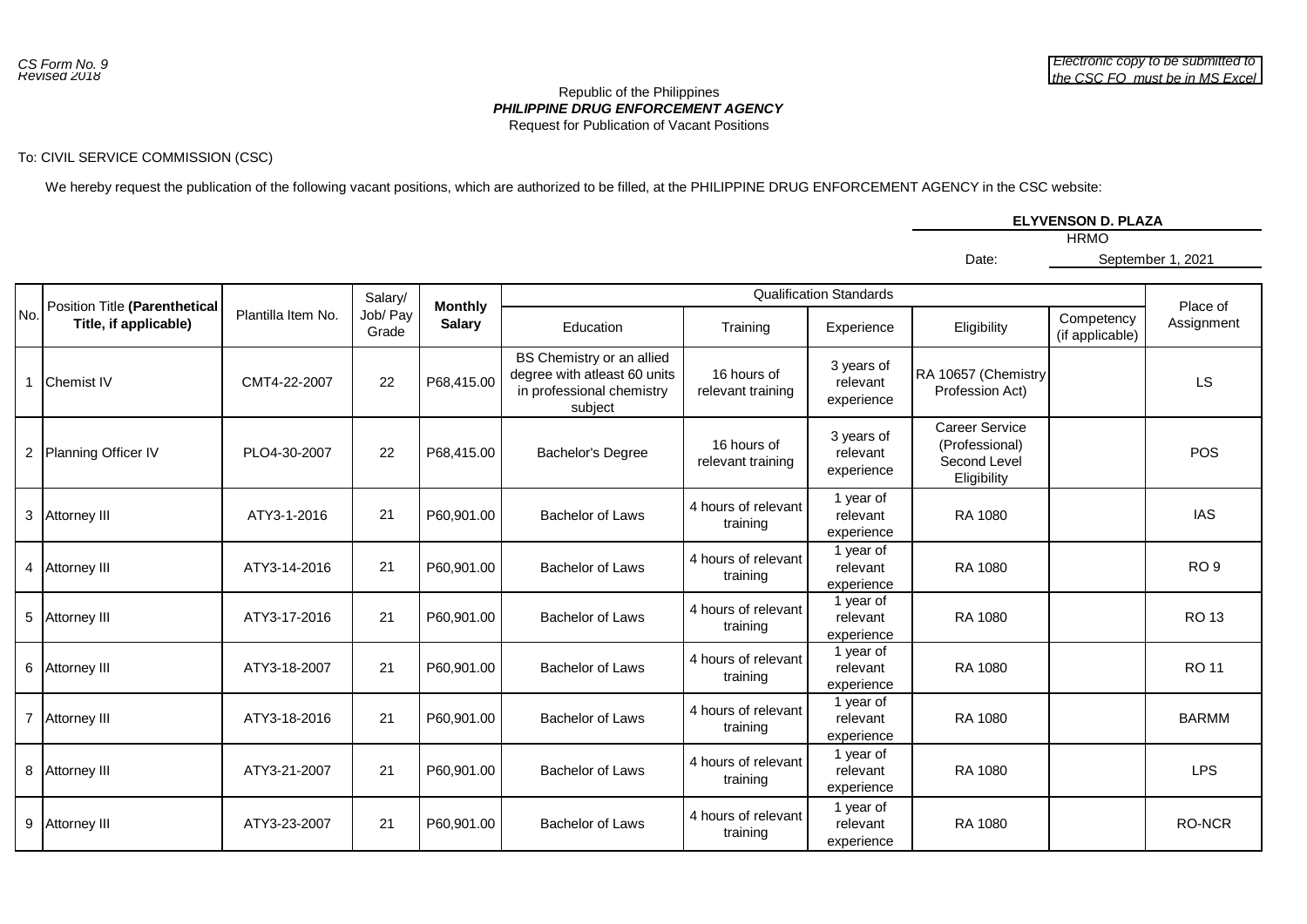## *PHILIPPINE DRUG ENFORCEMENT AGENCY* Republic of the Philippines Request for Publication of Vacant Positions

## To: CIVIL SERVICE COMMISSION (CSC)

We hereby request the publication of the following vacant positions, which are authorized to be filled, at the PHILIPPINE DRUG ENFORCEMENT AGENCY in the CSC website:

|       | ELYVENSON D. PLAZA |
|-------|--------------------|
|       | <b>HRMO</b>        |
| Date: | September 1, 2021  |

|     |                                                        |                    | Salary/           |                                 |                                                                                                   |                                  |                                      |                                                                 |                               |                        |
|-----|--------------------------------------------------------|--------------------|-------------------|---------------------------------|---------------------------------------------------------------------------------------------------|----------------------------------|--------------------------------------|-----------------------------------------------------------------|-------------------------------|------------------------|
| No. | Position Title (Parenthetical<br>Title, if applicable) | Plantilla Item No. | Job/ Pay<br>Grade | <b>Monthly</b><br><b>Salary</b> | Education                                                                                         | Training                         | Experience                           | Eligibility                                                     | Competency<br>(if applicable) | Place of<br>Assignment |
|     | <b>Chemist IV</b>                                      | CMT4-22-2007       | 22                | P68,415.00                      | BS Chemistry or an allied<br>degree with atleast 60 units<br>in professional chemistry<br>subject | 16 hours of<br>relevant training | 3 years of<br>relevant<br>experience | RA 10657 (Chemistry<br>Profession Act)                          |                               | LS                     |
|     | 2 Planning Officer IV                                  | PLO4-30-2007       | 22                | P68,415.00                      | <b>Bachelor's Degree</b>                                                                          | 16 hours of<br>relevant training | 3 years of<br>relevant<br>experience | Career Service<br>(Professional)<br>Second Level<br>Eligibility |                               | <b>POS</b>             |
|     | 3 Attorney III                                         | ATY3-1-2016        | 21                | P60,901.00                      | Bachelor of Laws                                                                                  | 4 hours of relevant<br>training  | 1 year of<br>relevant<br>experience  | RA 1080                                                         |                               | <b>IAS</b>             |
|     | 4 Attorney III                                         | ATY3-14-2016       | 21                | P60,901.00                      | <b>Bachelor of Laws</b>                                                                           | 4 hours of relevant<br>training  | 1 year of<br>relevant<br>experience  | RA 1080                                                         |                               | RO <sub>9</sub>        |
|     | 5 Attorney III                                         | ATY3-17-2016       | 21                | P60,901.00                      | Bachelor of Laws                                                                                  | 4 hours of relevant<br>training  | 1 year of<br>relevant<br>experience  | RA 1080                                                         |                               | RO 13                  |
|     | 6 Attorney III                                         | ATY3-18-2007       | 21                | P60,901.00                      | <b>Bachelor of Laws</b>                                                                           | 4 hours of relevant<br>training  | 1 year of<br>relevant<br>experience  | RA 1080                                                         |                               | <b>RO11</b>            |
|     | 7 Attorney III                                         | ATY3-18-2016       | 21                | P60,901.00                      | <b>Bachelor of Laws</b>                                                                           | 4 hours of relevant<br>training  | 1 year of<br>relevant<br>experience  | RA 1080                                                         |                               | <b>BARMM</b>           |
|     | 8 Attorney III                                         | ATY3-21-2007       | 21                | P60,901.00                      | Bachelor of Laws                                                                                  | 4 hours of relevant<br>training  | 1 year of<br>relevant<br>experience  | RA 1080                                                         |                               | <b>LPS</b>             |
|     | 9 Attorney III                                         | ATY3-23-2007       | 21                | P60,901.00                      | <b>Bachelor of Laws</b>                                                                           | 4 hours of relevant<br>training  | 1 year of<br>relevant<br>experience  | RA 1080                                                         |                               | <b>RO-NCR</b>          |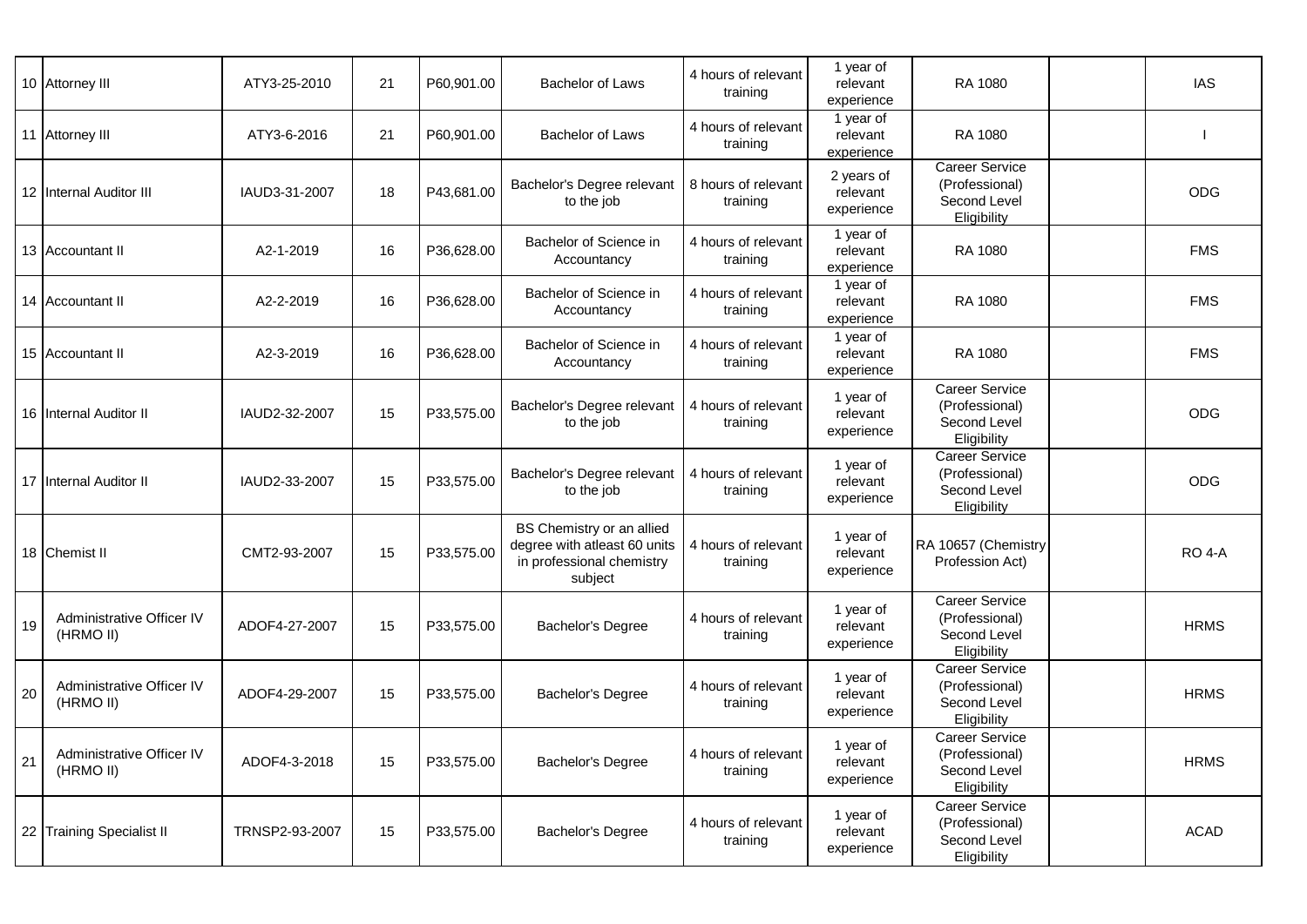|    | 10 Attorney III                        | ATY3-25-2010   | 21 | P60,901.00 | <b>Bachelor of Laws</b>                                                                           | 4 hours of relevant<br>training | 1 year of<br>relevant<br>experience  | <b>RA 1080</b>                                                         | <b>IAS</b>    |
|----|----------------------------------------|----------------|----|------------|---------------------------------------------------------------------------------------------------|---------------------------------|--------------------------------------|------------------------------------------------------------------------|---------------|
|    | 11 Attorney III                        | ATY3-6-2016    | 21 | P60,901.00 | <b>Bachelor of Laws</b>                                                                           | 4 hours of relevant<br>training | 1 year of<br>relevant<br>experience  | RA 1080                                                                |               |
|    | 12 Internal Auditor III                | IAUD3-31-2007  | 18 | P43,681.00 | Bachelor's Degree relevant<br>to the job                                                          | 8 hours of relevant<br>training | 2 years of<br>relevant<br>experience | <b>Career Service</b><br>(Professional)<br>Second Level<br>Eligibility | <b>ODG</b>    |
|    | 13 Accountant II                       | A2-1-2019      | 16 | P36,628.00 | Bachelor of Science in<br>Accountancy                                                             | 4 hours of relevant<br>training | 1 year of<br>relevant<br>experience  | <b>RA 1080</b>                                                         | <b>FMS</b>    |
|    | 14 Accountant II                       | A2-2-2019      | 16 | P36,628.00 | Bachelor of Science in<br>Accountancy                                                             | 4 hours of relevant<br>training | 1 year of<br>relevant<br>experience  | <b>RA 1080</b>                                                         | <b>FMS</b>    |
|    | 15 Accountant II                       | A2-3-2019      | 16 | P36,628.00 | Bachelor of Science in<br>Accountancy                                                             | 4 hours of relevant<br>training | 1 year of<br>relevant<br>experience  | RA 1080                                                                | <b>FMS</b>    |
|    | 16 Internal Auditor II                 | IAUD2-32-2007  | 15 | P33,575.00 | Bachelor's Degree relevant<br>to the job                                                          | 4 hours of relevant<br>training | 1 year of<br>relevant<br>experience  | <b>Career Service</b><br>(Professional)<br>Second Level<br>Eligibility | <b>ODG</b>    |
|    | 17 Internal Auditor II                 | IAUD2-33-2007  | 15 | P33,575.00 | Bachelor's Degree relevant<br>to the job                                                          | 4 hours of relevant<br>training | 1 year of<br>relevant<br>experience  | <b>Career Service</b><br>(Professional)<br>Second Level<br>Eligibility | <b>ODG</b>    |
|    | 18 Chemist II                          | CMT2-93-2007   | 15 | P33,575.00 | BS Chemistry or an allied<br>degree with atleast 60 units<br>in professional chemistry<br>subject | 4 hours of relevant<br>training | 1 year of<br>relevant<br>experience  | RA 10657 (Chemistry<br>Profession Act)                                 | <b>RO 4-A</b> |
| 19 | Administrative Officer IV<br>(HRMO II) | ADOF4-27-2007  | 15 | P33,575.00 | Bachelor's Degree                                                                                 | 4 hours of relevant<br>training | 1 year of<br>relevant<br>experience  | Career Service<br>(Professional)<br>Second Level<br>Eligibility        | <b>HRMS</b>   |
| 20 | Administrative Officer IV<br>(HRMO II) | ADOF4-29-2007  | 15 | P33,575.00 | Bachelor's Degree                                                                                 | 4 hours of relevant<br>training | 1 year of<br>relevant<br>experience  | <b>Career Service</b><br>(Professional)<br>Second Level<br>Eligibility | <b>HRMS</b>   |
| 21 | Administrative Officer IV<br>(HRMO II) | ADOF4-3-2018   | 15 | P33,575.00 | Bachelor's Degree                                                                                 | 4 hours of relevant<br>training | 1 year of<br>relevant<br>experience  | <b>Career Service</b><br>(Professional)<br>Second Level<br>Eligibility | <b>HRMS</b>   |
|    | 22 Training Specialist II              | TRNSP2-93-2007 | 15 | P33,575.00 | Bachelor's Degree                                                                                 | 4 hours of relevant<br>training | 1 year of<br>relevant<br>experience  | <b>Career Service</b><br>(Professional)<br>Second Level<br>Eligibility | <b>ACAD</b>   |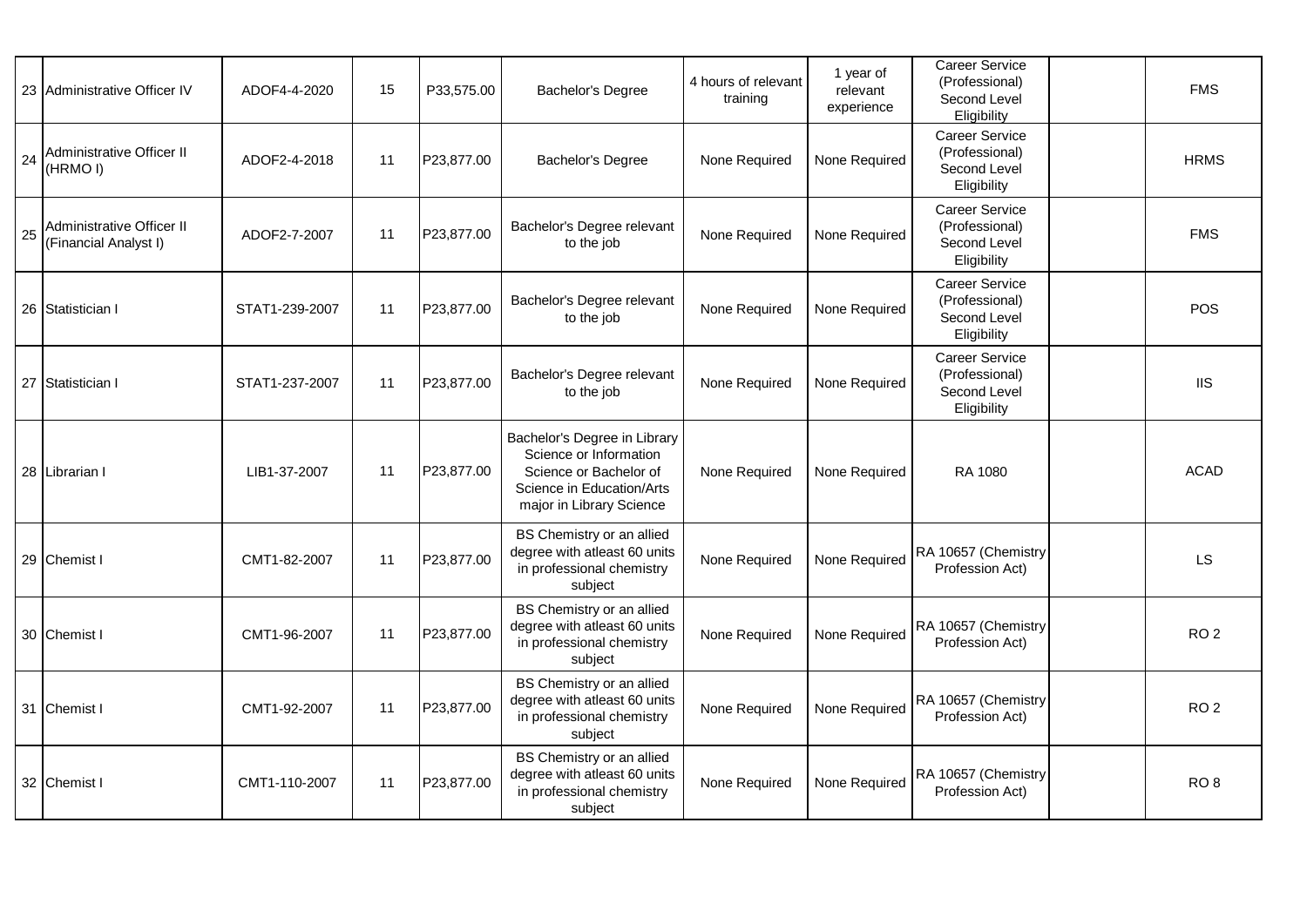|    | 23 Administrative Officer IV                       | ADOF4-4-2020   | 15 | P33,575.00 | Bachelor's Degree                                                                                                                         | 4 hours of relevant<br>training | 1 year of<br>relevant<br>experience | <b>Career Service</b><br>(Professional)<br>Second Level<br>Eligibility | <b>FMS</b>      |
|----|----------------------------------------------------|----------------|----|------------|-------------------------------------------------------------------------------------------------------------------------------------------|---------------------------------|-------------------------------------|------------------------------------------------------------------------|-----------------|
| 24 | Administrative Officer II<br>(HRMO I)              | ADOF2-4-2018   | 11 | P23,877.00 | Bachelor's Degree                                                                                                                         | None Required                   | None Required                       | Career Service<br>(Professional)<br>Second Level<br>Eligibility        | <b>HRMS</b>     |
| 25 | Administrative Officer II<br>(Financial Analyst I) | ADOF2-7-2007   | 11 | P23,877.00 | Bachelor's Degree relevant<br>to the job                                                                                                  | None Required                   | None Required                       | Career Service<br>(Professional)<br>Second Level<br>Eligibility        | <b>FMS</b>      |
|    | 26 Statistician I                                  | STAT1-239-2007 | 11 | P23,877.00 | Bachelor's Degree relevant<br>to the job                                                                                                  | None Required                   | None Required                       | <b>Career Service</b><br>(Professional)<br>Second Level<br>Eligibility | <b>POS</b>      |
|    | 27 Statistician I                                  | STAT1-237-2007 | 11 | P23,877.00 | Bachelor's Degree relevant<br>to the job                                                                                                  | None Required                   | None Required                       | Career Service<br>(Professional)<br>Second Level<br>Eligibility        | <b>IIS</b>      |
|    | 28 Librarian I                                     | LIB1-37-2007   | 11 | P23,877.00 | Bachelor's Degree in Library<br>Science or Information<br>Science or Bachelor of<br>Science in Education/Arts<br>major in Library Science | None Required                   | None Required                       | RA 1080                                                                | <b>ACAD</b>     |
|    | 29 Chemist I                                       | CMT1-82-2007   | 11 | P23,877.00 | BS Chemistry or an allied<br>degree with atleast 60 units<br>in professional chemistry<br>subject                                         | None Required                   | None Required                       | RA 10657 (Chemistry<br>Profession Act)                                 | LS              |
|    | 30 Chemist I                                       | CMT1-96-2007   | 11 | P23,877.00 | BS Chemistry or an allied<br>degree with atleast 60 units<br>in professional chemistry<br>subject                                         | None Required                   | None Required                       | RA 10657 (Chemistry<br>Profession Act)                                 | RO <sub>2</sub> |
|    | 31 Chemist I                                       | CMT1-92-2007   | 11 | P23,877.00 | BS Chemistry or an allied<br>degree with atleast 60 units<br>in professional chemistry<br>subject                                         | None Required                   | None Required                       | RA 10657 (Chemistry<br>Profession Act)                                 | RO <sub>2</sub> |
|    | 32 Chemist I                                       | CMT1-110-2007  | 11 | P23,877.00 | BS Chemistry or an allied<br>degree with atleast 60 units<br>in professional chemistry<br>subject                                         | None Required                   | None Required                       | RA 10657 (Chemistry<br>Profession Act)                                 | RO <sub>8</sub> |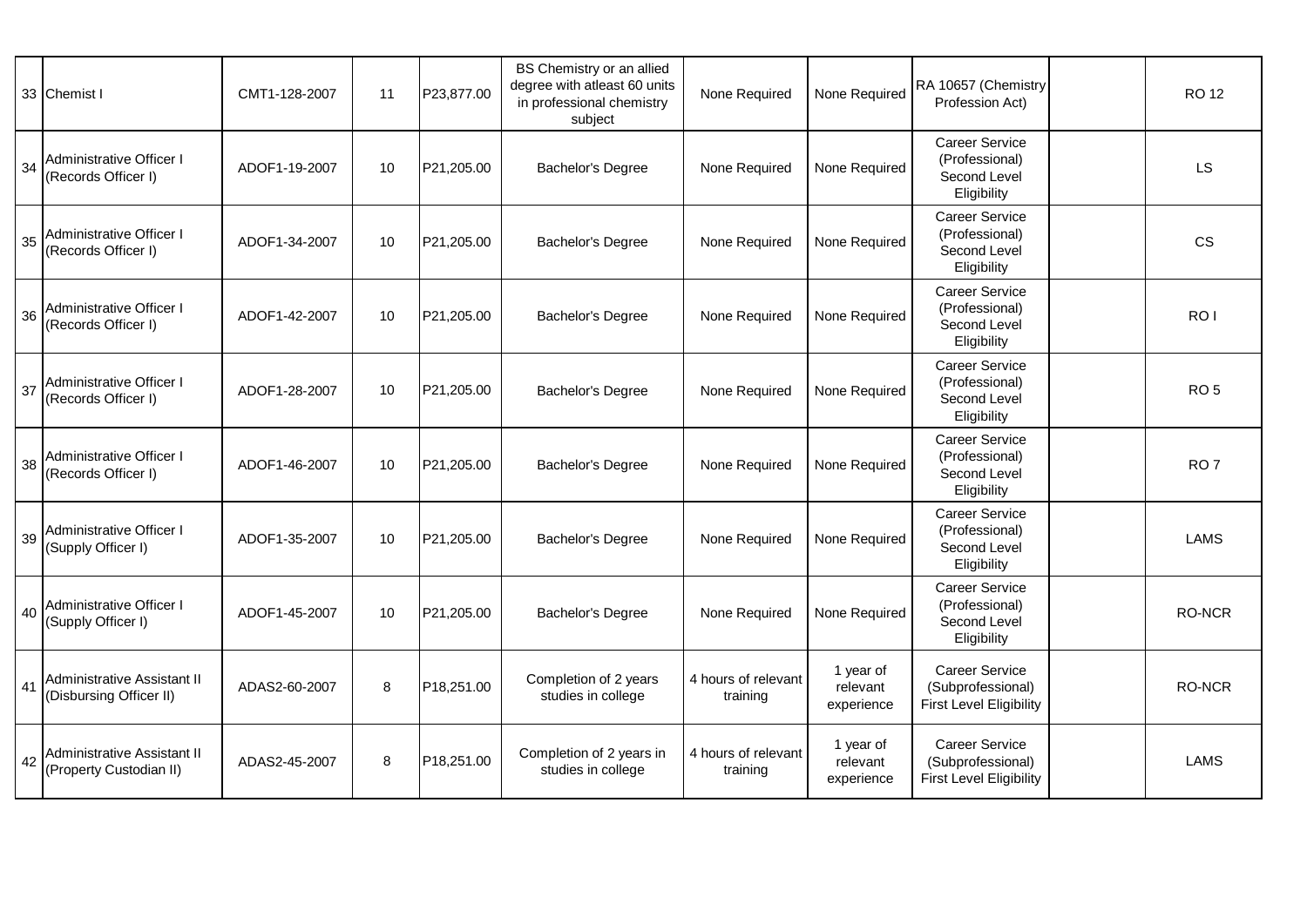|    | 33 Chemist I                                           | CMT1-128-2007 | 11 | P23,877.00 | BS Chemistry or an allied<br>degree with atleast 60 units<br>in professional chemistry<br>subject | None Required                   | None Required                       | RA 10657 (Chemistry<br>Profession Act)                                 | <b>RO12</b>     |
|----|--------------------------------------------------------|---------------|----|------------|---------------------------------------------------------------------------------------------------|---------------------------------|-------------------------------------|------------------------------------------------------------------------|-----------------|
| 34 | Administrative Officer I<br>(Records Officer I)        | ADOF1-19-2007 | 10 | P21,205.00 | Bachelor's Degree                                                                                 | None Required                   | None Required                       | <b>Career Service</b><br>(Professional)<br>Second Level<br>Eligibility | LS              |
| 35 | Administrative Officer I<br>(Records Officer I)        | ADOF1-34-2007 | 10 | P21,205.00 | Bachelor's Degree                                                                                 | None Required                   | None Required                       | <b>Career Service</b><br>(Professional)<br>Second Level<br>Eligibility | <b>CS</b>       |
| 36 | Administrative Officer I<br>(Records Officer I)        | ADOF1-42-2007 | 10 | P21,205.00 | Bachelor's Degree                                                                                 | None Required                   | None Required                       | <b>Career Service</b><br>(Professional)<br>Second Level<br>Eligibility | RO <sub>I</sub> |
| 37 | Administrative Officer I<br>(Records Officer I)        | ADOF1-28-2007 | 10 | P21,205.00 | Bachelor's Degree                                                                                 | None Required                   | None Required                       | Career Service<br>(Professional)<br>Second Level<br>Eligibility        | RO <sub>5</sub> |
| 38 | Administrative Officer I<br>(Records Officer I)        | ADOF1-46-2007 | 10 | P21,205.00 | Bachelor's Degree                                                                                 | None Required                   | None Required                       | Career Service<br>(Professional)<br>Second Level<br>Eligibility        | RO <sub>7</sub> |
| 39 | Administrative Officer I<br>(Supply Officer I)         | ADOF1-35-2007 | 10 | P21,205.00 | Bachelor's Degree                                                                                 | None Required                   | None Required                       | <b>Career Service</b><br>(Professional)<br>Second Level<br>Eligibility | <b>LAMS</b>     |
| 40 | Administrative Officer I<br>(Supply Officer I)         | ADOF1-45-2007 | 10 | P21,205.00 | Bachelor's Degree                                                                                 | None Required                   | None Required                       | Career Service<br>(Professional)<br>Second Level<br>Eligibility        | <b>RO-NCR</b>   |
| 41 | Administrative Assistant II<br>(Disbursing Officer II) | ADAS2-60-2007 | 8  | P18,251.00 | Completion of 2 years<br>studies in college                                                       | 4 hours of relevant<br>training | 1 year of<br>relevant<br>experience | Career Service<br>(Subprofessional)<br><b>First Level Eligibility</b>  | RO-NCR          |
| 42 | Administrative Assistant II<br>(Property Custodian II) | ADAS2-45-2007 | 8  | P18,251.00 | Completion of 2 years in<br>studies in college                                                    | 4 hours of relevant<br>training | 1 year of<br>relevant<br>experience | Career Service<br>(Subprofessional)<br><b>First Level Eligibility</b>  | <b>LAMS</b>     |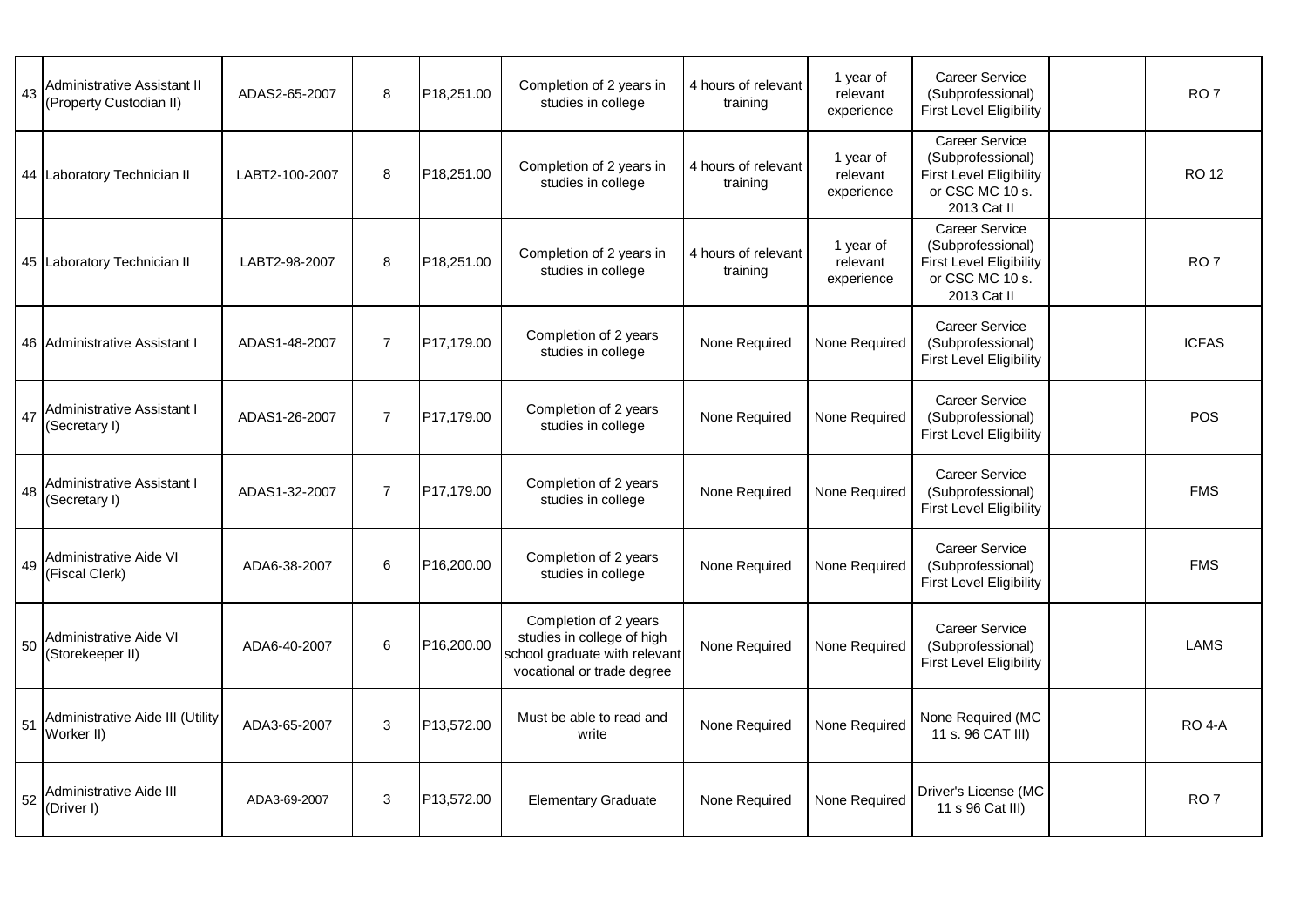| 43 | Administrative Assistant II<br>(Property Custodian II) | ADAS2-65-2007  | 8              | P18,251.00 | Completion of 2 years in<br>studies in college                                                                     | 4 hours of relevant<br>training | 1 year of<br>relevant<br>experience | <b>Career Service</b><br>(Subprofessional)<br><b>First Level Eligibility</b>                                   | RO <sub>7</sub> |
|----|--------------------------------------------------------|----------------|----------------|------------|--------------------------------------------------------------------------------------------------------------------|---------------------------------|-------------------------------------|----------------------------------------------------------------------------------------------------------------|-----------------|
|    | 44 Laboratory Technician II                            | LABT2-100-2007 | $\,8\,$        | P18,251.00 | Completion of 2 years in<br>studies in college                                                                     | 4 hours of relevant<br>training | 1 year of<br>relevant<br>experience | <b>Career Service</b><br>(Subprofessional)<br><b>First Level Eligibility</b><br>or CSC MC 10 s.<br>2013 Cat II | <b>RO12</b>     |
|    | 45 Laboratory Technician II                            | LABT2-98-2007  | 8              | P18,251.00 | Completion of 2 years in<br>studies in college                                                                     | 4 hours of relevant<br>training | 1 year of<br>relevant<br>experience | <b>Career Service</b><br>(Subprofessional)<br><b>First Level Eligibility</b><br>or CSC MC 10 s.<br>2013 Cat II | RO <sub>7</sub> |
|    | 46 Administrative Assistant I                          | ADAS1-48-2007  | $\overline{7}$ | P17.179.00 | Completion of 2 years<br>studies in college                                                                        | None Required                   | None Required                       | <b>Career Service</b><br>(Subprofessional)<br><b>First Level Eligibility</b>                                   | <b>ICFAS</b>    |
|    | 47 Administrative Assistant I<br>(Secretary I)         | ADAS1-26-2007  | $\overline{7}$ | P17,179.00 | Completion of 2 years<br>studies in college                                                                        | None Required                   | None Required                       | Career Service<br>(Subprofessional)<br>First Level Eligibility                                                 | POS             |
|    | 48 Administrative Assistant I<br>(Secretary I)         | ADAS1-32-2007  | $\overline{7}$ | P17,179.00 | Completion of 2 years<br>studies in college                                                                        | None Required                   | None Required                       | Career Service<br>(Subprofessional)<br><b>First Level Eligibility</b>                                          | <b>FMS</b>      |
|    | 49 Administrative Aide VI<br>(Fiscal Clerk)            | ADA6-38-2007   | 6              | P16,200.00 | Completion of 2 years<br>studies in college                                                                        | None Required                   | None Required                       | <b>Career Service</b><br>(Subprofessional)<br><b>First Level Eligibility</b>                                   | <b>FMS</b>      |
| 50 | Administrative Aide VI<br>(Storekeeper II)             | ADA6-40-2007   | 6              | P16,200.00 | Completion of 2 years<br>studies in college of high<br>school graduate with relevant<br>vocational or trade degree | None Required                   | None Required                       | <b>Career Service</b><br>(Subprofessional)<br><b>First Level Eligibility</b>                                   | <b>LAMS</b>     |
| 51 | Administrative Aide III (Utility<br>Worker II)         | ADA3-65-2007   | 3              | P13,572.00 | Must be able to read and<br>write                                                                                  | None Required                   | None Required                       | None Required (MC<br>11 s. 96 CAT III)                                                                         | <b>RO 4-A</b>   |
| 52 | Administrative Aide III<br>(Driver I)                  | ADA3-69-2007   | 3              | P13,572.00 | <b>Elementary Graduate</b>                                                                                         | None Required                   | None Required                       | Driver's License (MC<br>11 s 96 Cat III)                                                                       | RO <sub>7</sub> |